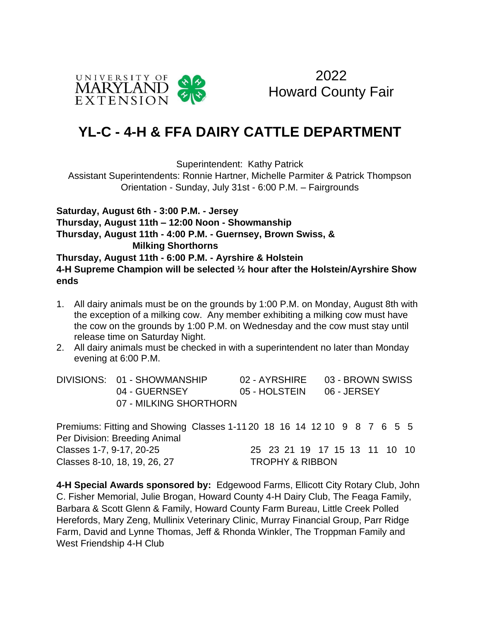

2022 Howard County Fair

## **YL-C - 4-H & FFA DAIRY CATTLE DEPARTMENT**

Superintendent: Kathy Patrick

Assistant Superintendents: Ronnie Hartner, Michelle Parmiter & Patrick Thompson Orientation - Sunday, July 31st - 6:00 P.M. – Fairgrounds

**Saturday, August 6th - 3:00 P.M. - Jersey Thursday, August 11th – 12:00 Noon - Showmanship Thursday, August 11th - 4:00 P.M. - Guernsey, Brown Swiss, & Milking Shorthorns Thursday, August 11th - 6:00 P.M. - Ayrshire & Holstein 4-H Supreme Champion will be selected ½ hour after the Holstein/Ayrshire Show ends**

- 1. All dairy animals must be on the grounds by 1:00 P.M. on Monday, August 8th with the exception of a milking cow. Any member exhibiting a milking cow must have the cow on the grounds by 1:00 P.M. on Wednesday and the cow must stay until release time on Saturday Night.
- 2. All dairy animals must be checked in with a superintendent no later than Monday evening at 6:00 P.M.

| DIVISIONS: 01 - SHOWMANSHIP |               | 02 - AYRSHIRE 03 - BROWN SWISS |
|-----------------------------|---------------|--------------------------------|
| 04 - GUERNSEY               | 05 - HOLSTEIN | 06 - JERSEY                    |
| 07 - MILKING SHORTHORN      |               |                                |

Premiums: Fitting and Showing Classes 1-11 20 18 16 14 12 10 9 8 7 6 5 5 Per Division: Breeding Animal Classes 1-7, 9-17, 20-25 25 25 23 21 19 17 15 13 11 10 10 Classes 8-10, 18, 19, 26, 27 TROPHY & RIBBON

**4-H Special Awards sponsored by:** Edgewood Farms, Ellicott City Rotary Club, John C. Fisher Memorial, Julie Brogan, Howard County 4-H Dairy Club, The Feaga Family, Barbara & Scott Glenn & Family, Howard County Farm Bureau, Little Creek Polled Herefords, Mary Zeng, Mullinix Veterinary Clinic, Murray Financial Group, Parr Ridge Farm, David and Lynne Thomas, Jeff & Rhonda Winkler, The Troppman Family and West Friendship 4-H Club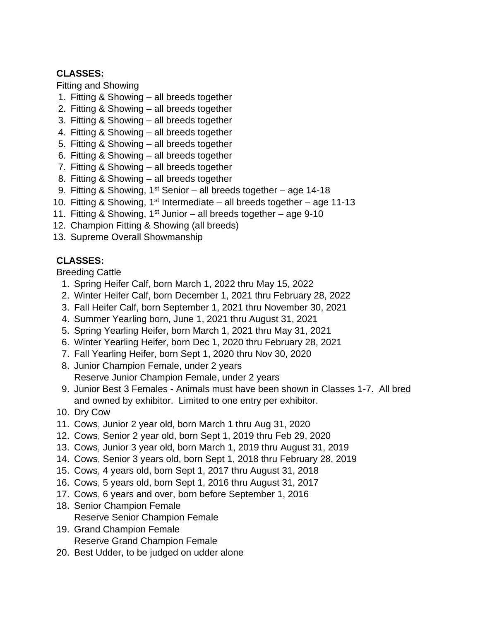## **CLASSES:**

Fitting and Showing

- 1. Fitting & Showing all breeds together
- 2. Fitting & Showing all breeds together
- 3. Fitting & Showing all breeds together
- 4. Fitting & Showing all breeds together
- 5. Fitting & Showing all breeds together
- 6. Fitting & Showing all breeds together
- 7. Fitting & Showing all breeds together
- 8. Fitting & Showing all breeds together
- 9. Fitting & Showing,  $1^{st}$  Senior all breeds together age 14-18
- 10. Fitting & Showing,  $1<sup>st</sup>$  Intermediate all breeds together age 11-13
- 11. Fitting & Showing,  $1^{st}$  Junior all breeds together age 9-10
- 12. Champion Fitting & Showing (all breeds)
- 13. Supreme Overall Showmanship

## **CLASSES:**

Breeding Cattle

- 1. Spring Heifer Calf, born March 1, 2022 thru May 15, 2022
- 2. Winter Heifer Calf, born December 1, 2021 thru February 28, 2022
- 3. Fall Heifer Calf, born September 1, 2021 thru November 30, 2021
- 4. Summer Yearling born, June 1, 2021 thru August 31, 2021
- 5. Spring Yearling Heifer, born March 1, 2021 thru May 31, 2021
- 6. Winter Yearling Heifer, born Dec 1, 2020 thru February 28, 2021
- 7. Fall Yearling Heifer, born Sept 1, 2020 thru Nov 30, 2020
- 8. Junior Champion Female, under 2 years Reserve Junior Champion Female, under 2 years
- 9. Junior Best 3 Females Animals must have been shown in Classes 1-7. All bred and owned by exhibitor. Limited to one entry per exhibitor.
- 10. Dry Cow
- 11. Cows, Junior 2 year old, born March 1 thru Aug 31, 2020
- 12. Cows, Senior 2 year old, born Sept 1, 2019 thru Feb 29, 2020
- 13. Cows, Junior 3 year old, born March 1, 2019 thru August 31, 2019
- 14. Cows, Senior 3 years old, born Sept 1, 2018 thru February 28, 2019
- 15. Cows, 4 years old, born Sept 1, 2017 thru August 31, 2018
- 16. Cows, 5 years old, born Sept 1, 2016 thru August 31, 2017
- 17. Cows, 6 years and over, born before September 1, 2016
- 18. Senior Champion Female
	- Reserve Senior Champion Female
- 19. Grand Champion Female Reserve Grand Champion Female
- 20. Best Udder, to be judged on udder alone